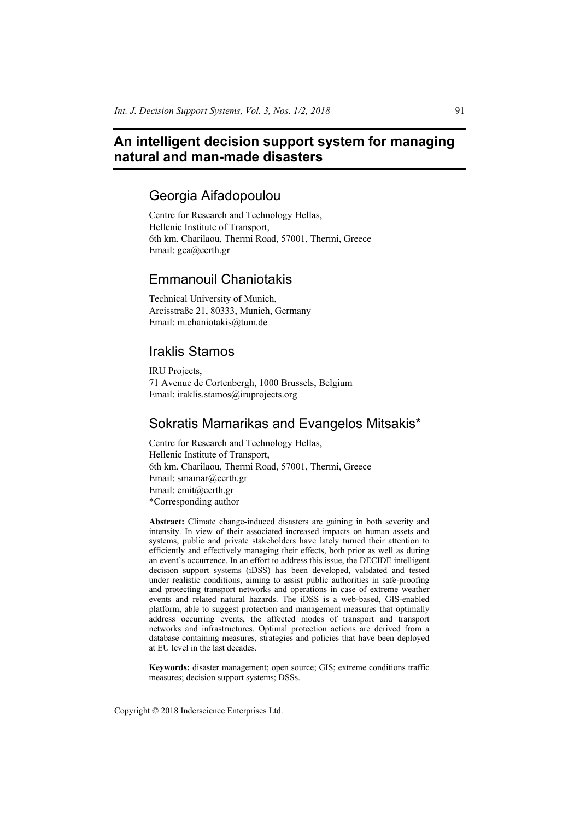# **An intelligent decision support system for managing natural and man-made disasters**

## Georgia Aifadopoulou

Centre for Research and Technology Hellas, Hellenic Institute of Transport, 6th km. Charilaou, Thermi Road, 57001, Thermi, Greece Email: gea@certh.gr

## Emmanouil Chaniotakis

Technical University of Munich, Arcisstraße 21, 80333, Munich, Germany Email: m.chaniotakis@tum.de

# Iraklis Stamos

IRU Projects, 71 Avenue de Cortenbergh, 1000 Brussels, Belgium Email: iraklis.stamos@iruprojects.org

# Sokratis Mamarikas and Evangelos Mitsakis\*

Centre for Research and Technology Hellas, Hellenic Institute of Transport, 6th km. Charilaou, Thermi Road, 57001, Thermi, Greece Email: smamar@certh.gr Email: emit@certh.gr \*Corresponding author

**Abstract:** Climate change-induced disasters are gaining in both severity and intensity. In view of their associated increased impacts on human assets and systems, public and private stakeholders have lately turned their attention to efficiently and effectively managing their effects, both prior as well as during an event's occurrence. In an effort to address this issue, the DECIDE intelligent decision support systems (iDSS) has been developed, validated and tested under realistic conditions, aiming to assist public authorities in safe-proofing and protecting transport networks and operations in case of extreme weather events and related natural hazards. The iDSS is a web-based, GIS-enabled platform, able to suggest protection and management measures that optimally address occurring events, the affected modes of transport and transport networks and infrastructures. Optimal protection actions are derived from a database containing measures, strategies and policies that have been deployed at EU level in the last decades.

**Keywords:** disaster management; open source; GIS; extreme conditions traffic measures; decision support systems; DSSs.

Copyright © 2018 Inderscience Enterprises Ltd.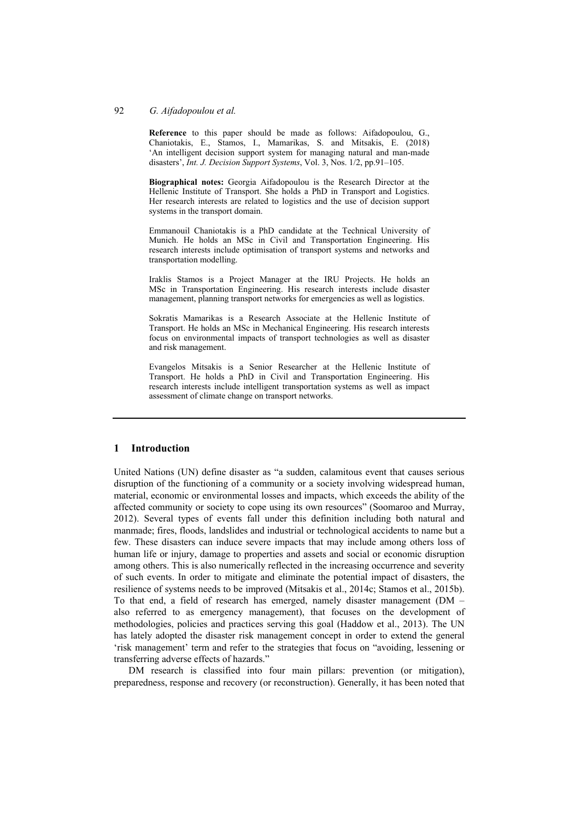**Reference** to this paper should be made as follows: Aifadopoulou, G., Chaniotakis, E., Stamos, I., Mamarikas, S. and Mitsakis, E. (2018) 'An intelligent decision support system for managing natural and man-made disasters', *Int. J. Decision Support Systems*, Vol. 3, Nos. 1/2, pp.91–105.

**Biographical notes:** Georgia Aifadopoulou is the Research Director at the Hellenic Institute of Transport. She holds a PhD in Transport and Logistics. Her research interests are related to logistics and the use of decision support systems in the transport domain.

Emmanouil Chaniotakis is a PhD candidate at the Technical University of Munich. He holds an MSc in Civil and Transportation Engineering. His research interests include optimisation of transport systems and networks and transportation modelling.

Iraklis Stamos is a Project Manager at the IRU Projects. He holds an MSc in Transportation Engineering. His research interests include disaster management, planning transport networks for emergencies as well as logistics.

Sokratis Mamarikas is a Research Associate at the Hellenic Institute of Transport. He holds an MSc in Mechanical Engineering. His research interests focus on environmental impacts of transport technologies as well as disaster and risk management.

Evangelos Mitsakis is a Senior Researcher at the Hellenic Institute of Transport. He holds a PhD in Civil and Transportation Engineering. His research interests include intelligent transportation systems as well as impact assessment of climate change on transport networks.

## **1 Introduction**

United Nations (UN) define disaster as "a sudden, calamitous event that causes serious disruption of the functioning of a community or a society involving widespread human, material, economic or environmental losses and impacts, which exceeds the ability of the affected community or society to cope using its own resources" (Soomaroo and Murray, 2012). Several types of events fall under this definition including both natural and manmade; fires, floods, landslides and industrial or technological accidents to name but a few. These disasters can induce severe impacts that may include among others loss of human life or injury, damage to properties and assets and social or economic disruption among others. This is also numerically reflected in the increasing occurrence and severity of such events. In order to mitigate and eliminate the potential impact of disasters, the resilience of systems needs to be improved (Mitsakis et al., 2014c; Stamos et al., 2015b). To that end, a field of research has emerged, namely disaster management (DM – also referred to as emergency management), that focuses on the development of methodologies, policies and practices serving this goal (Haddow et al., 2013). The UN has lately adopted the disaster risk management concept in order to extend the general 'risk management' term and refer to the strategies that focus on "avoiding, lessening or transferring adverse effects of hazards."

DM research is classified into four main pillars: prevention (or mitigation), preparedness, response and recovery (or reconstruction). Generally, it has been noted that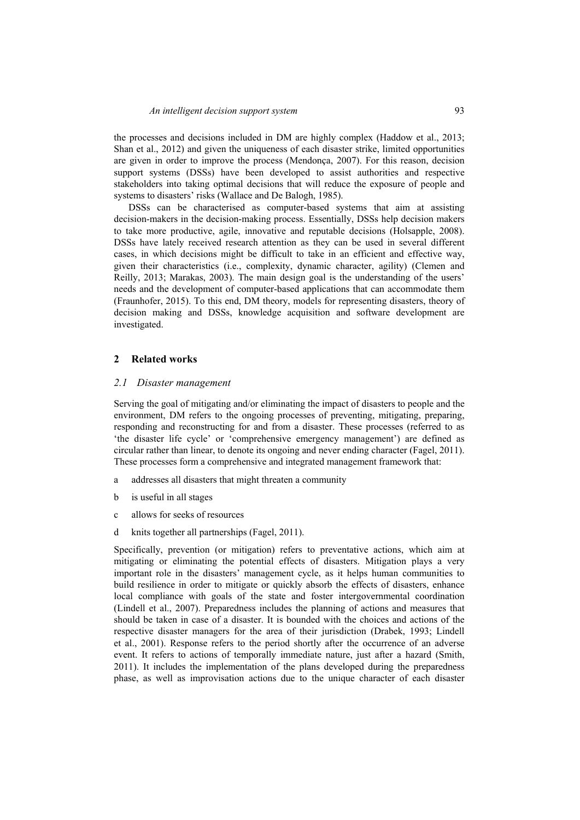the processes and decisions included in DM are highly complex (Haddow et al., 2013; Shan et al., 2012) and given the uniqueness of each disaster strike, limited opportunities are given in order to improve the process (Mendonça, 2007). For this reason, decision support systems (DSSs) have been developed to assist authorities and respective stakeholders into taking optimal decisions that will reduce the exposure of people and systems to disasters' risks (Wallace and De Balogh, 1985).

DSSs can be characterised as computer-based systems that aim at assisting decision-makers in the decision-making process. Essentially, DSSs help decision makers to take more productive, agile, innovative and reputable decisions (Holsapple, 2008). DSSs have lately received research attention as they can be used in several different cases, in which decisions might be difficult to take in an efficient and effective way, given their characteristics (i.e., complexity, dynamic character, agility) (Clemen and Reilly, 2013; Marakas, 2003). The main design goal is the understanding of the users' needs and the development of computer-based applications that can accommodate them (Fraunhofer, 2015). To this end, DM theory, models for representing disasters, theory of decision making and DSSs, knowledge acquisition and software development are investigated.

## **2 Related works**

#### *2.1 Disaster management*

Serving the goal of mitigating and/or eliminating the impact of disasters to people and the environment, DM refers to the ongoing processes of preventing, mitigating, preparing, responding and reconstructing for and from a disaster. These processes (referred to as 'the disaster life cycle' or 'comprehensive emergency management') are defined as circular rather than linear, to denote its ongoing and never ending character (Fagel, 2011). These processes form a comprehensive and integrated management framework that:

- a addresses all disasters that might threaten a community
- b is useful in all stages
- c allows for seeks of resources
- d knits together all partnerships (Fagel, 2011).

Specifically, prevention (or mitigation) refers to preventative actions, which aim at mitigating or eliminating the potential effects of disasters. Mitigation plays a very important role in the disasters' management cycle, as it helps human communities to build resilience in order to mitigate or quickly absorb the effects of disasters, enhance local compliance with goals of the state and foster intergovernmental coordination (Lindell et al., 2007). Preparedness includes the planning of actions and measures that should be taken in case of a disaster. It is bounded with the choices and actions of the respective disaster managers for the area of their jurisdiction (Drabek, 1993; Lindell et al., 2001). Response refers to the period shortly after the occurrence of an adverse event. It refers to actions of temporally immediate nature, just after a hazard (Smith, 2011). It includes the implementation of the plans developed during the preparedness phase, as well as improvisation actions due to the unique character of each disaster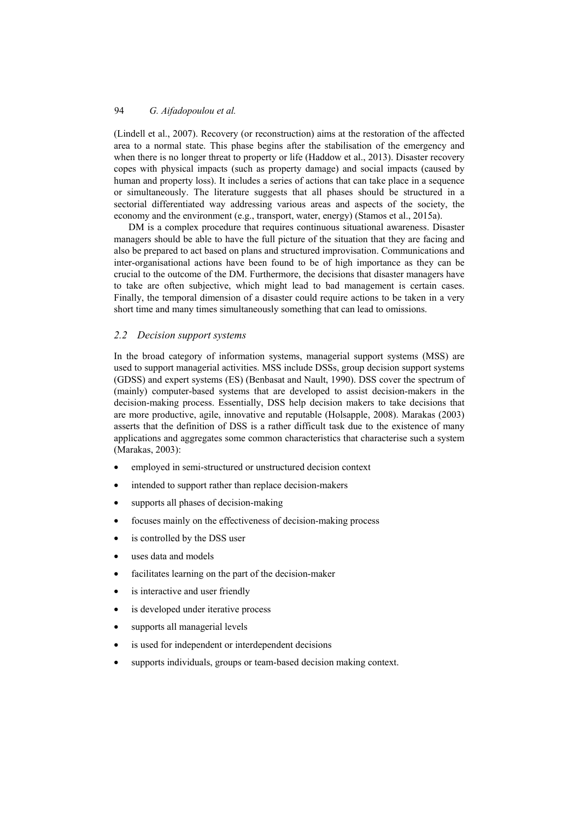(Lindell et al., 2007). Recovery (or reconstruction) aims at the restoration of the affected area to a normal state. This phase begins after the stabilisation of the emergency and when there is no longer threat to property or life (Haddow et al., 2013). Disaster recovery copes with physical impacts (such as property damage) and social impacts (caused by human and property loss). It includes a series of actions that can take place in a sequence or simultaneously. The literature suggests that all phases should be structured in a sectorial differentiated way addressing various areas and aspects of the society, the economy and the environment (e.g., transport, water, energy) (Stamos et al., 2015a).

DM is a complex procedure that requires continuous situational awareness. Disaster managers should be able to have the full picture of the situation that they are facing and also be prepared to act based on plans and structured improvisation. Communications and inter-organisational actions have been found to be of high importance as they can be crucial to the outcome of the DM. Furthermore, the decisions that disaster managers have to take are often subjective, which might lead to bad management is certain cases. Finally, the temporal dimension of a disaster could require actions to be taken in a very short time and many times simultaneously something that can lead to omissions.

#### *2.2 Decision support systems*

In the broad category of information systems, managerial support systems (MSS) are used to support managerial activities. MSS include DSSs, group decision support systems (GDSS) and expert systems (ES) (Benbasat and Nault, 1990). DSS cover the spectrum of (mainly) computer-based systems that are developed to assist decision-makers in the decision-making process. Essentially, DSS help decision makers to take decisions that are more productive, agile, innovative and reputable (Holsapple, 2008). Marakas (2003) asserts that the definition of DSS is a rather difficult task due to the existence of many applications and aggregates some common characteristics that characterise such a system (Marakas, 2003):

- employed in semi-structured or unstructured decision context
- intended to support rather than replace decision-makers
- supports all phases of decision-making
- focuses mainly on the effectiveness of decision-making process
- is controlled by the DSS user
- uses data and models
- facilitates learning on the part of the decision-maker
- is interactive and user friendly
- is developed under iterative process
- supports all managerial levels
- is used for independent or interdependent decisions
- supports individuals, groups or team-based decision making context.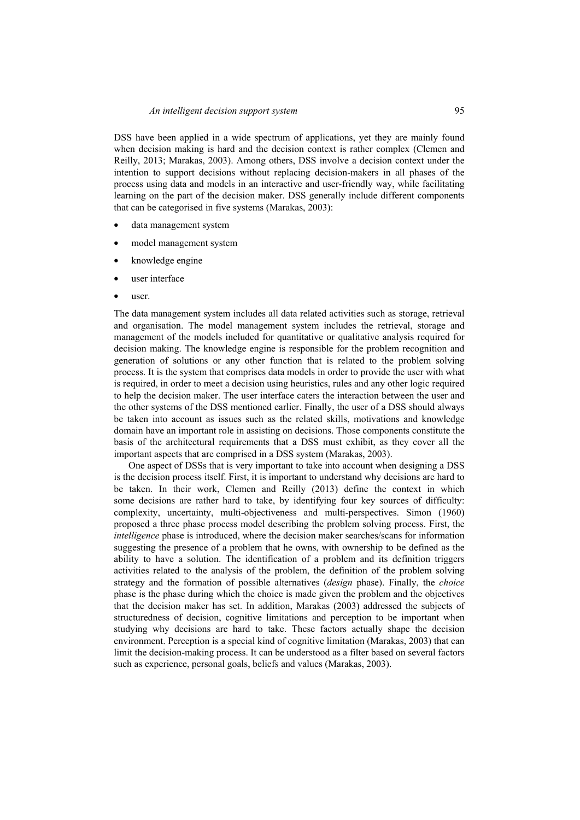DSS have been applied in a wide spectrum of applications, yet they are mainly found when decision making is hard and the decision context is rather complex (Clemen and Reilly, 2013; Marakas, 2003). Among others, DSS involve a decision context under the intention to support decisions without replacing decision-makers in all phases of the process using data and models in an interactive and user-friendly way, while facilitating learning on the part of the decision maker. DSS generally include different components that can be categorised in five systems (Marakas, 2003):

- data management system
- model management system
- knowledge engine
- user interface
- user.

The data management system includes all data related activities such as storage, retrieval and organisation. The model management system includes the retrieval, storage and management of the models included for quantitative or qualitative analysis required for decision making. The knowledge engine is responsible for the problem recognition and generation of solutions or any other function that is related to the problem solving process. It is the system that comprises data models in order to provide the user with what is required, in order to meet a decision using heuristics, rules and any other logic required to help the decision maker. The user interface caters the interaction between the user and the other systems of the DSS mentioned earlier. Finally, the user of a DSS should always be taken into account as issues such as the related skills, motivations and knowledge domain have an important role in assisting on decisions. Those components constitute the basis of the architectural requirements that a DSS must exhibit, as they cover all the important aspects that are comprised in a DSS system (Marakas, 2003).

One aspect of DSSs that is very important to take into account when designing a DSS is the decision process itself. First, it is important to understand why decisions are hard to be taken. In their work, Clemen and Reilly (2013) define the context in which some decisions are rather hard to take, by identifying four key sources of difficulty: complexity, uncertainty, multi-objectiveness and multi-perspectives. Simon (1960) proposed a three phase process model describing the problem solving process. First, the *intelligence* phase is introduced, where the decision maker searches/scans for information suggesting the presence of a problem that he owns, with ownership to be defined as the ability to have a solution. The identification of a problem and its definition triggers activities related to the analysis of the problem, the definition of the problem solving strategy and the formation of possible alternatives (*design* phase). Finally, the *choice* phase is the phase during which the choice is made given the problem and the objectives that the decision maker has set. In addition, Marakas (2003) addressed the subjects of structuredness of decision, cognitive limitations and perception to be important when studying why decisions are hard to take. These factors actually shape the decision environment. Perception is a special kind of cognitive limitation (Marakas, 2003) that can limit the decision-making process. It can be understood as a filter based on several factors such as experience, personal goals, beliefs and values (Marakas, 2003).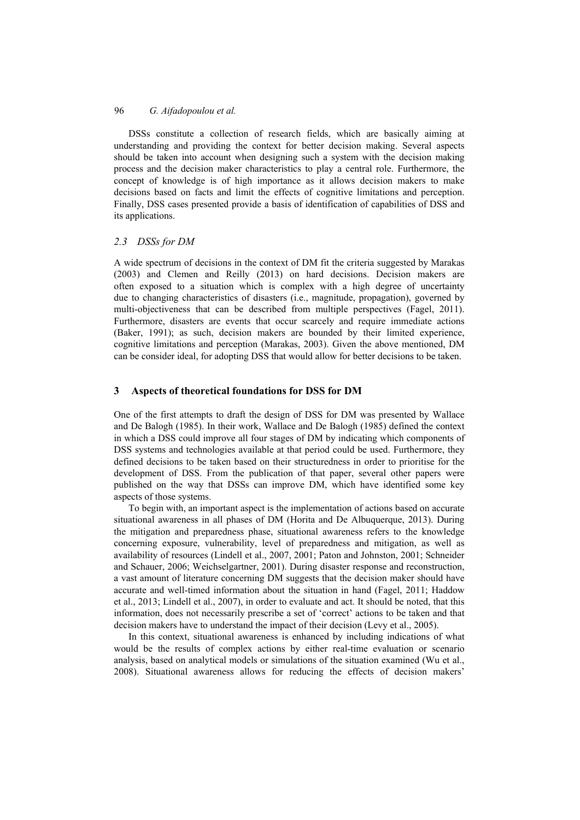DSSs constitute a collection of research fields, which are basically aiming at understanding and providing the context for better decision making. Several aspects should be taken into account when designing such a system with the decision making process and the decision maker characteristics to play a central role. Furthermore, the concept of knowledge is of high importance as it allows decision makers to make decisions based on facts and limit the effects of cognitive limitations and perception. Finally, DSS cases presented provide a basis of identification of capabilities of DSS and its applications.

#### *2.3 DSSs for DM*

A wide spectrum of decisions in the context of DM fit the criteria suggested by Marakas (2003) and Clemen and Reilly (2013) on hard decisions. Decision makers are often exposed to a situation which is complex with a high degree of uncertainty due to changing characteristics of disasters (i.e., magnitude, propagation), governed by multi-objectiveness that can be described from multiple perspectives (Fagel, 2011). Furthermore, disasters are events that occur scarcely and require immediate actions (Baker, 1991); as such, decision makers are bounded by their limited experience, cognitive limitations and perception (Marakas, 2003). Given the above mentioned, DM can be consider ideal, for adopting DSS that would allow for better decisions to be taken.

#### **3 Aspects of theoretical foundations for DSS for DM**

One of the first attempts to draft the design of DSS for DM was presented by Wallace and De Balogh (1985). In their work, Wallace and De Balogh (1985) defined the context in which a DSS could improve all four stages of DM by indicating which components of DSS systems and technologies available at that period could be used. Furthermore, they defined decisions to be taken based on their structuredness in order to prioritise for the development of DSS. From the publication of that paper, several other papers were published on the way that DSSs can improve DM, which have identified some key aspects of those systems.

To begin with, an important aspect is the implementation of actions based on accurate situational awareness in all phases of DM (Horita and De Albuquerque, 2013). During the mitigation and preparedness phase, situational awareness refers to the knowledge concerning exposure, vulnerability, level of preparedness and mitigation, as well as availability of resources (Lindell et al., 2007, 2001; Paton and Johnston, 2001; Schneider and Schauer, 2006; Weichselgartner, 2001). During disaster response and reconstruction, a vast amount of literature concerning DM suggests that the decision maker should have accurate and well-timed information about the situation in hand (Fagel, 2011; Haddow et al., 2013; Lindell et al., 2007), in order to evaluate and act. It should be noted, that this information, does not necessarily prescribe a set of 'correct' actions to be taken and that decision makers have to understand the impact of their decision (Levy et al., 2005).

In this context, situational awareness is enhanced by including indications of what would be the results of complex actions by either real-time evaluation or scenario analysis, based on analytical models or simulations of the situation examined (Wu et al., 2008). Situational awareness allows for reducing the effects of decision makers'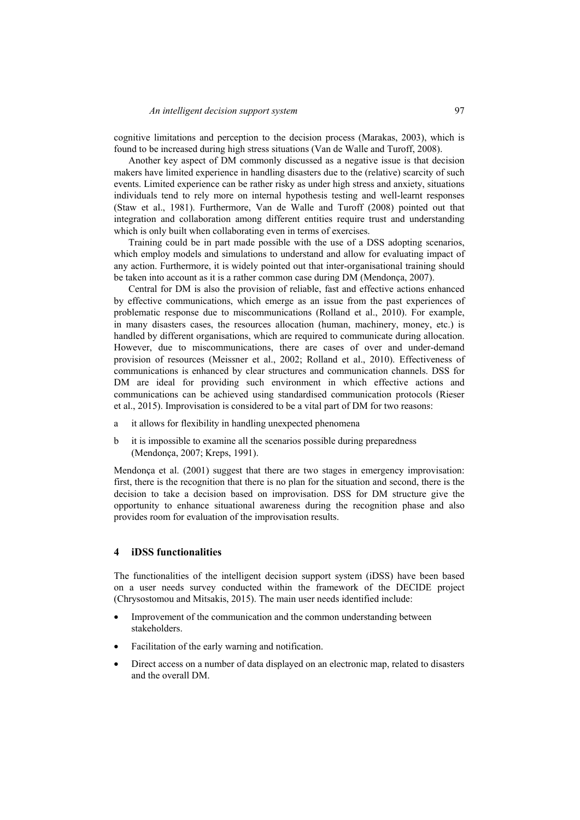cognitive limitations and perception to the decision process (Marakas, 2003), which is found to be increased during high stress situations (Van de Walle and Turoff, 2008).

Another key aspect of DM commonly discussed as a negative issue is that decision makers have limited experience in handling disasters due to the (relative) scarcity of such events. Limited experience can be rather risky as under high stress and anxiety, situations individuals tend to rely more on internal hypothesis testing and well-learnt responses (Staw et al., 1981). Furthermore, Van de Walle and Turoff (2008) pointed out that integration and collaboration among different entities require trust and understanding which is only built when collaborating even in terms of exercises.

Training could be in part made possible with the use of a DSS adopting scenarios, which employ models and simulations to understand and allow for evaluating impact of any action. Furthermore, it is widely pointed out that inter-organisational training should be taken into account as it is a rather common case during DM (Mendonça, 2007).

Central for DM is also the provision of reliable, fast and effective actions enhanced by effective communications, which emerge as an issue from the past experiences of problematic response due to miscommunications (Rolland et al., 2010). For example, in many disasters cases, the resources allocation (human, machinery, money, etc.) is handled by different organisations, which are required to communicate during allocation. However, due to miscommunications, there are cases of over and under-demand provision of resources (Meissner et al., 2002; Rolland et al., 2010). Effectiveness of communications is enhanced by clear structures and communication channels. DSS for DM are ideal for providing such environment in which effective actions and communications can be achieved using standardised communication protocols (Rieser et al., 2015). Improvisation is considered to be a vital part of DM for two reasons:

- a it allows for flexibility in handling unexpected phenomena
- b it is impossible to examine all the scenarios possible during preparedness (Mendonça, 2007; Kreps, 1991).

Mendonça et al. (2001) suggest that there are two stages in emergency improvisation: first, there is the recognition that there is no plan for the situation and second, there is the decision to take a decision based on improvisation. DSS for DM structure give the opportunity to enhance situational awareness during the recognition phase and also provides room for evaluation of the improvisation results.

## **4 iDSS functionalities**

The functionalities of the intelligent decision support system (iDSS) have been based on a user needs survey conducted within the framework of the DECIDE project (Chrysostomou and Mitsakis, 2015). The main user needs identified include:

- Improvement of the communication and the common understanding between stakeholders.
- Facilitation of the early warning and notification.
- Direct access on a number of data displayed on an electronic map, related to disasters and the overall DM.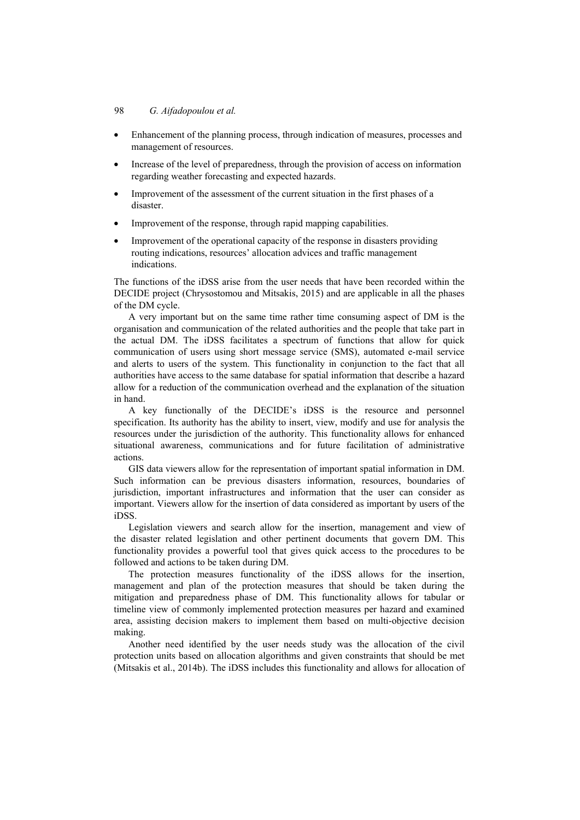- Enhancement of the planning process, through indication of measures, processes and management of resources.
- Increase of the level of preparedness, through the provision of access on information regarding weather forecasting and expected hazards.
- Improvement of the assessment of the current situation in the first phases of a disaster.
- Improvement of the response, through rapid mapping capabilities.
- Improvement of the operational capacity of the response in disasters providing routing indications, resources' allocation advices and traffic management indications.

The functions of the iDSS arise from the user needs that have been recorded within the DECIDE project (Chrysostomou and Mitsakis, 2015) and are applicable in all the phases of the DM cycle.

A very important but on the same time rather time consuming aspect of DM is the organisation and communication of the related authorities and the people that take part in the actual DM. The iDSS facilitates a spectrum of functions that allow for quick communication of users using short message service (SMS), automated e-mail service and alerts to users of the system. This functionality in conjunction to the fact that all authorities have access to the same database for spatial information that describe a hazard allow for a reduction of the communication overhead and the explanation of the situation in hand.

A key functionally of the DECIDE's iDSS is the resource and personnel specification. Its authority has the ability to insert, view, modify and use for analysis the resources under the jurisdiction of the authority. This functionality allows for enhanced situational awareness, communications and for future facilitation of administrative actions.

GIS data viewers allow for the representation of important spatial information in DM. Such information can be previous disasters information, resources, boundaries of jurisdiction, important infrastructures and information that the user can consider as important. Viewers allow for the insertion of data considered as important by users of the iDSS.

Legislation viewers and search allow for the insertion, management and view of the disaster related legislation and other pertinent documents that govern DM. This functionality provides a powerful tool that gives quick access to the procedures to be followed and actions to be taken during DM.

The protection measures functionality of the iDSS allows for the insertion, management and plan of the protection measures that should be taken during the mitigation and preparedness phase of DM. This functionality allows for tabular or timeline view of commonly implemented protection measures per hazard and examined area, assisting decision makers to implement them based on multi-objective decision making.

Another need identified by the user needs study was the allocation of the civil protection units based on allocation algorithms and given constraints that should be met (Mitsakis et al., 2014b). The iDSS includes this functionality and allows for allocation of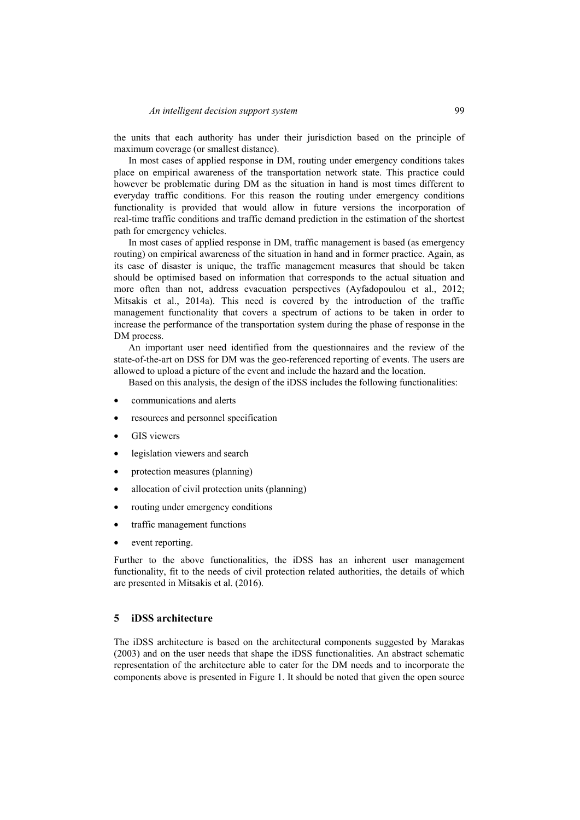the units that each authority has under their jurisdiction based on the principle of maximum coverage (or smallest distance).

In most cases of applied response in DM, routing under emergency conditions takes place on empirical awareness of the transportation network state. This practice could however be problematic during DM as the situation in hand is most times different to everyday traffic conditions. For this reason the routing under emergency conditions functionality is provided that would allow in future versions the incorporation of real-time traffic conditions and traffic demand prediction in the estimation of the shortest path for emergency vehicles.

In most cases of applied response in DM, traffic management is based (as emergency routing) on empirical awareness of the situation in hand and in former practice. Again, as its case of disaster is unique, the traffic management measures that should be taken should be optimised based on information that corresponds to the actual situation and more often than not, address evacuation perspectives (Ayfadopoulou et al., 2012; Mitsakis et al., 2014a). This need is covered by the introduction of the traffic management functionality that covers a spectrum of actions to be taken in order to increase the performance of the transportation system during the phase of response in the DM process.

An important user need identified from the questionnaires and the review of the state-of-the-art on DSS for DM was the geo-referenced reporting of events. The users are allowed to upload a picture of the event and include the hazard and the location.

Based on this analysis, the design of the iDSS includes the following functionalities:

- communications and alerts
- resources and personnel specification
- GIS viewers
- legislation viewers and search
- protection measures (planning)
- allocation of civil protection units (planning)
- routing under emergency conditions
- traffic management functions
- event reporting.

Further to the above functionalities, the iDSS has an inherent user management functionality, fit to the needs of civil protection related authorities, the details of which are presented in Mitsakis et al. (2016).

## **5 iDSS architecture**

The iDSS architecture is based on the architectural components suggested by Marakas (2003) and on the user needs that shape the iDSS functionalities. An abstract schematic representation of the architecture able to cater for the DM needs and to incorporate the components above is presented in Figure 1. It should be noted that given the open source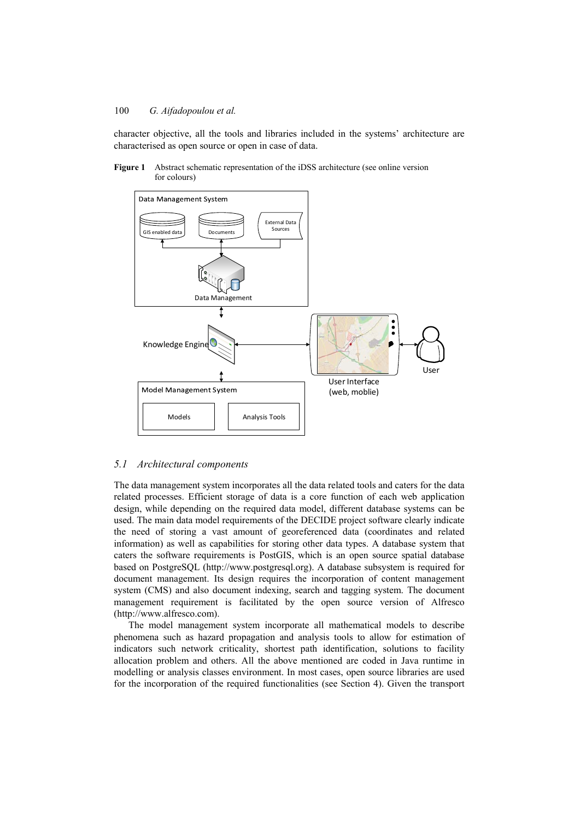character objective, all the tools and libraries included in the systems' architecture are characterised as open source or open in case of data.





## *5.1 Architectural components*

The data management system incorporates all the data related tools and caters for the data related processes. Efficient storage of data is a core function of each web application design, while depending on the required data model, different database systems can be used. The main data model requirements of the DECIDE project software clearly indicate the need of storing a vast amount of georeferenced data (coordinates and related information) as well as capabilities for storing other data types. A database system that caters the software requirements is PostGIS, which is an open source spatial database based on PostgreSQL (http://www.postgresql.org). A database subsystem is required for document management. Its design requires the incorporation of content management system (CMS) and also document indexing, search and tagging system. The document management requirement is facilitated by the open source version of Alfresco (http://www.alfresco.com).

The model management system incorporate all mathematical models to describe phenomena such as hazard propagation and analysis tools to allow for estimation of indicators such network criticality, shortest path identification, solutions to facility allocation problem and others. All the above mentioned are coded in Java runtime in modelling or analysis classes environment. In most cases, open source libraries are used for the incorporation of the required functionalities (see Section 4). Given the transport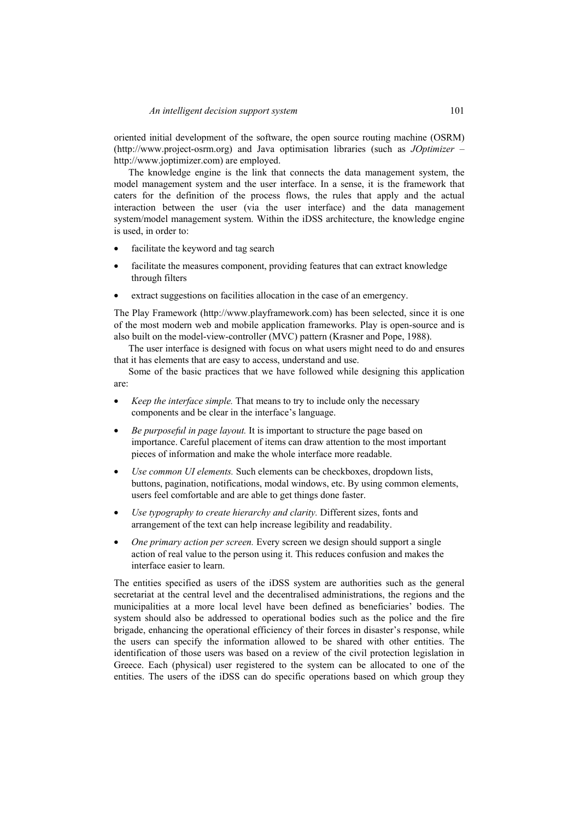oriented initial development of the software, the open source routing machine (OSRM) (http://www.project-osrm.org) and Java optimisation libraries (such as *JOptimizer* – http://www.joptimizer.com) are employed.

The knowledge engine is the link that connects the data management system, the model management system and the user interface. In a sense, it is the framework that caters for the definition of the process flows, the rules that apply and the actual interaction between the user (via the user interface) and the data management system/model management system. Within the iDSS architecture, the knowledge engine is used, in order to:

- facilitate the keyword and tag search
- facilitate the measures component, providing features that can extract knowledge through filters
- extract suggestions on facilities allocation in the case of an emergency.

The Play Framework (http://www.playframework.com) has been selected, since it is one of the most modern web and mobile application frameworks. Play is open-source and is also built on the model-view-controller (MVC) pattern (Krasner and Pope, 1988).

The user interface is designed with focus on what users might need to do and ensures that it has elements that are easy to access, understand and use.

Some of the basic practices that we have followed while designing this application are:

- *Keep the interface simple.* That means to try to include only the necessary components and be clear in the interface's language.
- *Be purposeful in page layout.* It is important to structure the page based on importance. Careful placement of items can draw attention to the most important pieces of information and make the whole interface more readable.
- *Use common UI elements.* Such elements can be checkboxes, dropdown lists, buttons, pagination, notifications, modal windows, etc. By using common elements, users feel comfortable and are able to get things done faster.
- *Use typography to create hierarchy and clarity.* Different sizes, fonts and arrangement of the text can help increase legibility and readability.
- *One primary action per screen.* Every screen we design should support a single action of real value to the person using it. This reduces confusion and makes the interface easier to learn.

The entities specified as users of the iDSS system are authorities such as the general secretariat at the central level and the decentralised administrations, the regions and the municipalities at a more local level have been defined as beneficiaries' bodies. The system should also be addressed to operational bodies such as the police and the fire brigade, enhancing the operational efficiency of their forces in disaster's response, while the users can specify the information allowed to be shared with other entities. The identification of those users was based on a review of the civil protection legislation in Greece. Each (physical) user registered to the system can be allocated to one of the entities. The users of the iDSS can do specific operations based on which group they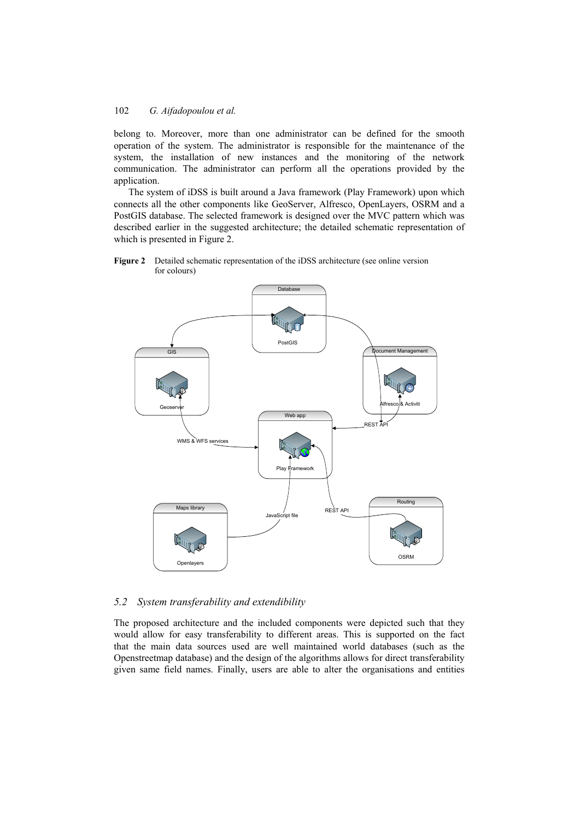belong to. Moreover, more than one administrator can be defined for the smooth operation of the system. The administrator is responsible for the maintenance of the system, the installation of new instances and the monitoring of the network communication. The administrator can perform all the operations provided by the application.

The system of iDSS is built around a Java framework (Play Framework) upon which connects all the other components like GeoServer, Alfresco, OpenLayers, OSRM and a PostGIS database. The selected framework is designed over the MVC pattern which was described earlier in the suggested architecture; the detailed schematic representation of which is presented in Figure 2.

#### **Figure 2** Detailed schematic representation of the iDSS architecture (see online version for colours)



## *5.2 System transferability and extendibility*

The proposed architecture and the included components were depicted such that they would allow for easy transferability to different areas. This is supported on the fact that the main data sources used are well maintained world databases (such as the Openstreetmap database) and the design of the algorithms allows for direct transferability given same field names. Finally, users are able to alter the organisations and entities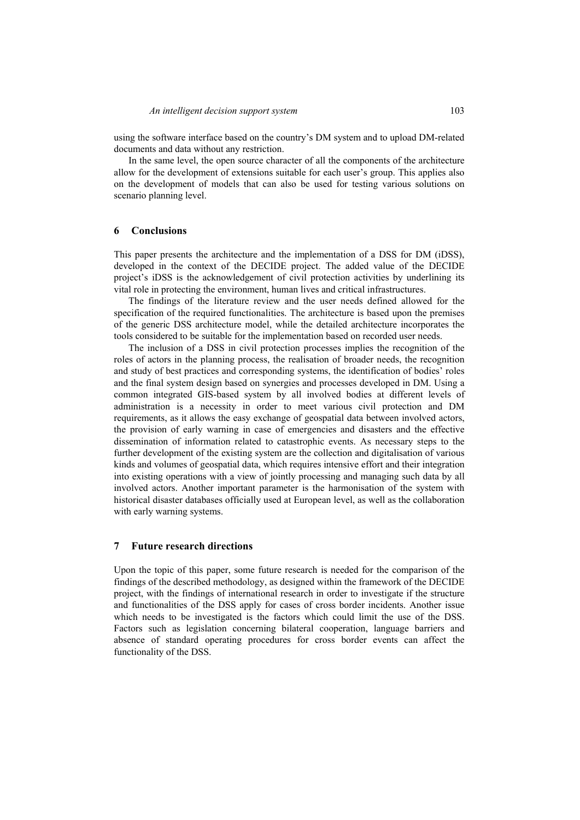using the software interface based on the country's DM system and to upload DM-related documents and data without any restriction.

In the same level, the open source character of all the components of the architecture allow for the development of extensions suitable for each user's group. This applies also on the development of models that can also be used for testing various solutions on scenario planning level.

#### **6 Conclusions**

This paper presents the architecture and the implementation of a DSS for DM (iDSS), developed in the context of the DECIDE project. The added value of the DECIDE project's iDSS is the acknowledgement of civil protection activities by underlining its vital role in protecting the environment, human lives and critical infrastructures.

The findings of the literature review and the user needs defined allowed for the specification of the required functionalities. The architecture is based upon the premises of the generic DSS architecture model, while the detailed architecture incorporates the tools considered to be suitable for the implementation based on recorded user needs.

The inclusion of a DSS in civil protection processes implies the recognition of the roles of actors in the planning process, the realisation of broader needs, the recognition and study of best practices and corresponding systems, the identification of bodies' roles and the final system design based on synergies and processes developed in DM. Using a common integrated GIS-based system by all involved bodies at different levels of administration is a necessity in order to meet various civil protection and DM requirements, as it allows the easy exchange of geospatial data between involved actors, the provision of early warning in case of emergencies and disasters and the effective dissemination of information related to catastrophic events. As necessary steps to the further development of the existing system are the collection and digitalisation of various kinds and volumes of geospatial data, which requires intensive effort and their integration into existing operations with a view of jointly processing and managing such data by all involved actors. Another important parameter is the harmonisation of the system with historical disaster databases officially used at European level, as well as the collaboration with early warning systems.

#### **7 Future research directions**

Upon the topic of this paper, some future research is needed for the comparison of the findings of the described methodology, as designed within the framework of the DECIDE project, with the findings of international research in order to investigate if the structure and functionalities of the DSS apply for cases of cross border incidents. Another issue which needs to be investigated is the factors which could limit the use of the DSS. Factors such as legislation concerning bilateral cooperation, language barriers and absence of standard operating procedures for cross border events can affect the functionality of the DSS.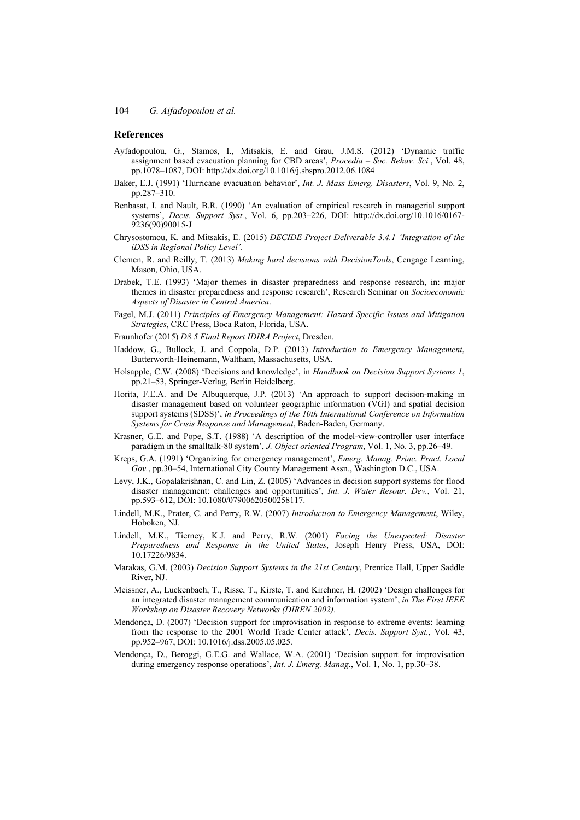#### **References**

- Ayfadopoulou, G., Stamos, I., Mitsakis, E. and Grau, J.M.S. (2012) 'Dynamic traffic assignment based evacuation planning for CBD areas', *Procedia – Soc. Behav. Sci.*, Vol. 48, pp.1078–1087, DOI: http://dx.doi.org/10.1016/j.sbspro.2012.06.1084
- Baker, E.J. (1991) 'Hurricane evacuation behavior', *Int. J. Mass Emerg. Disasters*, Vol. 9, No. 2, pp.287–310.
- Benbasat, I. and Nault, B.R. (1990) 'An evaluation of empirical research in managerial support systems', *Decis. Support Syst.*, Vol. 6, pp.203–226, DOI: http://dx.doi.org/10.1016/0167- 9236(90)90015-J
- Chrysostomou, K. and Mitsakis, E. (2015) *DECIDE Project Deliverable 3.4.1 'Integration of the iDSS in Regional Policy Level'*.
- Clemen, R. and Reilly, T. (2013) *Making hard decisions with DecisionTools*, Cengage Learning, Mason, Ohio, USA.
- Drabek, T.E. (1993) 'Major themes in disaster preparedness and response research, in: major themes in disaster preparedness and response research', Research Seminar on *Socioeconomic Aspects of Disaster in Central America*.
- Fagel, M.J. (2011) *Principles of Emergency Management: Hazard Specific Issues and Mitigation Strategies*, CRC Press, Boca Raton, Florida, USA.
- Fraunhofer (2015) *D8.5 Final Report IDIRA Project*, Dresden.
- Haddow, G., Bullock, J. and Coppola, D.P. (2013) *Introduction to Emergency Management*, Butterworth-Heinemann, Waltham, Massachusetts, USA.
- Holsapple, C.W. (2008) 'Decisions and knowledge', in *Handbook on Decision Support Systems 1*, pp.21–53, Springer-Verlag, Berlin Heidelberg.
- Horita, F.E.A. and De Albuquerque, J.P. (2013) 'An approach to support decision-making in disaster management based on volunteer geographic information (VGI) and spatial decision support systems (SDSS)', *in Proceedings of the 10th International Conference on Information Systems for Crisis Response and Management*, Baden-Baden, Germany.
- Krasner, G.E. and Pope, S.T. (1988) 'A description of the model-view-controller user interface paradigm in the smalltalk-80 system', *J. Object oriented Program*, Vol. 1, No. 3, pp.26–49.
- Kreps, G.A. (1991) 'Organizing for emergency management', *Emerg. Manag. Princ. Pract. Local Gov.*, pp.30–54, International City County Management Assn., Washington D.C., USA.
- Levy, J.K., Gopalakrishnan, C. and Lin, Z. (2005) 'Advances in decision support systems for flood disaster management: challenges and opportunities', *Int. J. Water Resour. Dev.*, Vol. 21, pp.593–612, DOI: 10.1080/07900620500258117.
- Lindell, M.K., Prater, C. and Perry, R.W. (2007) *Introduction to Emergency Management*, Wiley, Hoboken, NJ.
- Lindell, M.K., Tierney, K.J. and Perry, R.W. (2001) *Facing the Unexpected: Disaster Preparedness and Response in the United States*, Joseph Henry Press, USA, DOI: 10.17226/9834.
- Marakas, G.M. (2003) *Decision Support Systems in the 21st Century*, Prentice Hall, Upper Saddle River, NJ.
- Meissner, A., Luckenbach, T., Risse, T., Kirste, T. and Kirchner, H. (2002) 'Design challenges for an integrated disaster management communication and information system', *in The First IEEE Workshop on Disaster Recovery Networks (DIREN 2002)*.
- Mendonça, D. (2007) 'Decision support for improvisation in response to extreme events: learning from the response to the 2001 World Trade Center attack', *Decis. Support Syst.*, Vol. 43, pp.952–967, DOI: 10.1016/j.dss.2005.05.025.
- Mendonça, D., Beroggi, G.E.G. and Wallace, W.A. (2001) 'Decision support for improvisation during emergency response operations', Int. J. Emerg. Manag., Vol. 1, No. 1, pp.30-38.